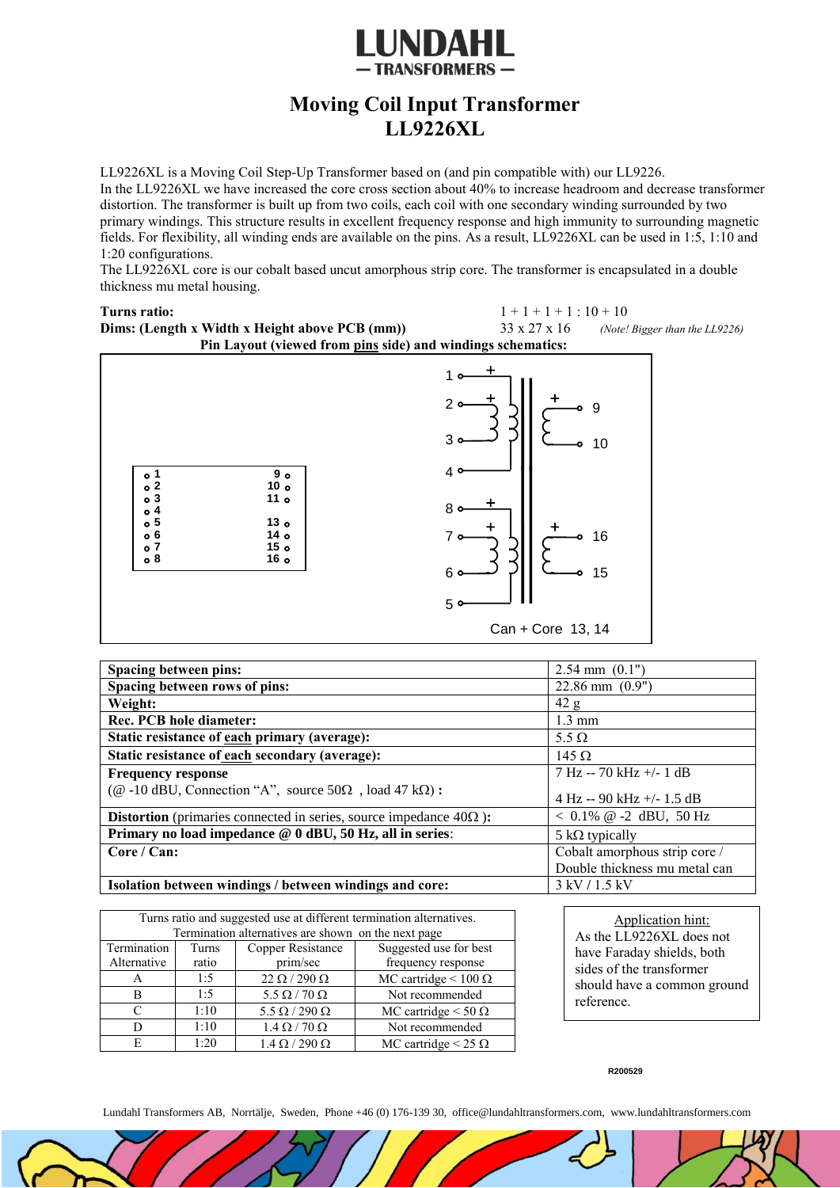

## **Moving Coil Input Transformer LL9226XL**

LL9226XL is a Moving Coil Step-Up Transformer based on (and pin compatible with) our LL9226.

In the LL9226XL we have increased the core cross section about 40% to increase headroom and decrease transformer distortion. The transformer is built up from two coils, each coil with one secondary winding surrounded by two primary windings. This structure results in excellent frequency response and high immunity to surrounding magnetic fields. For flexibility, all winding ends are available on the pins. As a result, LL9226XL can be used in 1:5, 1:10 and 1:20 configurations.

The LL9226XL core is our cobalt based uncut amorphous strip core. The transformer is encapsulated in a double thickness mu metal housing.

**Turns ratio:**  $1+1+1:10+10$ **Dims: (Length x Width x Height above PCB (mm))**  $33 \times 27 \times 16$  *(Note! Bigger than the LL9226)* **Pin Layout (viewed from pins side) and windings schematics:**



| Spacing between pins:                                                            | $2.54$ mm $(0.1")$            |
|----------------------------------------------------------------------------------|-------------------------------|
| Spacing between rows of pins:                                                    | $22.86$ mm $(0.9")$           |
| Weight:                                                                          | 42 g                          |
| <b>Rec. PCB hole diameter:</b>                                                   | $1.3 \text{ mm}$              |
| Static resistance of each primary (average):                                     | 5.5 $\Omega$                  |
| Static resistance of each secondary (average):                                   | 145 $\Omega$                  |
| <b>Frequency response</b>                                                        | 7 Hz -- 70 kHz +/- 1 dB       |
| ( $@$ -10 dBU, Connection "A", source 50 $\Omega$ , load 47 k $\Omega$ ):        | 4 Hz -- 90 kHz +/- 1.5 dB     |
| <b>Distortion</b> (primaries connected in series, source impedance $40\Omega$ ): | $< 0.1\%$ @ -2 dBU, 50 Hz     |
| Primary no load impedance @ 0 dBU, 50 Hz, all in series:                         | 5 k $\Omega$ typically        |
| Core / Can:                                                                      | Cobalt amorphous strip core / |
|                                                                                  | Double thickness mu metal can |
| Isolation between windings / between windings and core:                          | $3$ kV $/1.5$ kV              |

| Turns ratio and suggested use at different termination alternatives. |       |                           |                              |
|----------------------------------------------------------------------|-------|---------------------------|------------------------------|
| Termination alternatives are shown on the next page                  |       |                           |                              |
| Termination                                                          | Turns | Copper Resistance         | Suggested use for best       |
| Alternative                                                          | ratio | prim/sec                  | frequency response           |
| А                                                                    | 1:5   | $22 \Omega / 290 \Omega$  | MC cartridge < $100 \Omega$  |
| B                                                                    | 1:5   | $5.5 \Omega / 70 \Omega$  | Not recommended              |
| $\mathcal{C}$                                                        | 1:10  | $5.5 \Omega / 290 \Omega$ | MC cartridge $<$ 50 $\Omega$ |
| D                                                                    | 1:10  | $1.4 \Omega / 70 \Omega$  | Not recommended              |
| E                                                                    | 1:20  | $1.4 \Omega / 290 \Omega$ | MC cartridge < 25 $\Omega$   |

Application hint: As the LL9226XL does not have Faraday shields, both sides of the transformer should have a common ground reference.

**R200529**

Lundahl Transformers AB, Norrtälje, Sweden, Phone +46 (0) 176-139 30, office@lundahltransformers.com, www.lundahltransformers.com